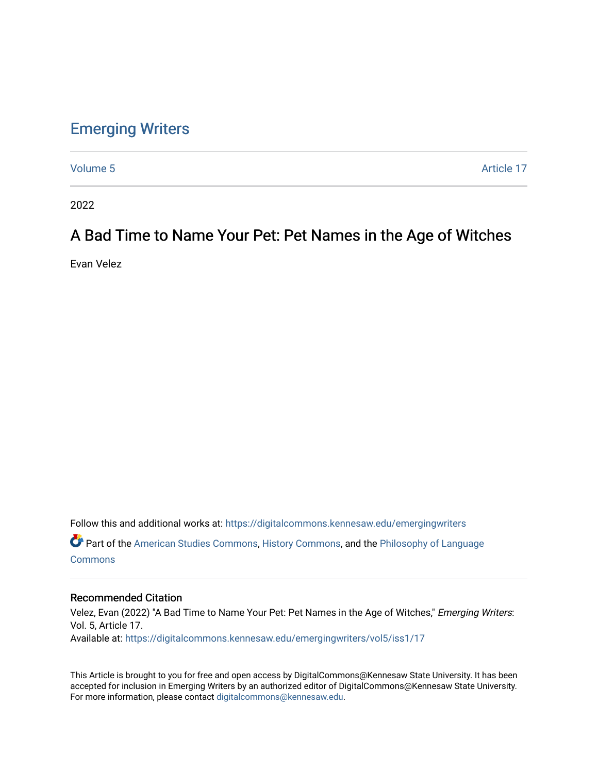## [Emerging Writers](https://digitalcommons.kennesaw.edu/emergingwriters)

[Volume 5](https://digitalcommons.kennesaw.edu/emergingwriters/vol5) Article 17

2022

## A Bad Time to Name Your Pet: Pet Names in the Age of Witches

Evan Velez

Follow this and additional works at: [https://digitalcommons.kennesaw.edu/emergingwriters](https://digitalcommons.kennesaw.edu/emergingwriters?utm_source=digitalcommons.kennesaw.edu%2Femergingwriters%2Fvol5%2Fiss1%2F17&utm_medium=PDF&utm_campaign=PDFCoverPages)  Part of the [American Studies Commons](http://network.bepress.com/hgg/discipline/439?utm_source=digitalcommons.kennesaw.edu%2Femergingwriters%2Fvol5%2Fiss1%2F17&utm_medium=PDF&utm_campaign=PDFCoverPages), [History Commons,](http://network.bepress.com/hgg/discipline/489?utm_source=digitalcommons.kennesaw.edu%2Femergingwriters%2Fvol5%2Fiss1%2F17&utm_medium=PDF&utm_campaign=PDFCoverPages) and the [Philosophy of Language](http://network.bepress.com/hgg/discipline/534?utm_source=digitalcommons.kennesaw.edu%2Femergingwriters%2Fvol5%2Fiss1%2F17&utm_medium=PDF&utm_campaign=PDFCoverPages)  **[Commons](http://network.bepress.com/hgg/discipline/534?utm_source=digitalcommons.kennesaw.edu%2Femergingwriters%2Fvol5%2Fiss1%2F17&utm_medium=PDF&utm_campaign=PDFCoverPages)** 

### Recommended Citation

Velez, Evan (2022) "A Bad Time to Name Your Pet: Pet Names in the Age of Witches," Emerging Writers: Vol. 5, Article 17. Available at: [https://digitalcommons.kennesaw.edu/emergingwriters/vol5/iss1/17](https://digitalcommons.kennesaw.edu/emergingwriters/vol5/iss1/17?utm_source=digitalcommons.kennesaw.edu%2Femergingwriters%2Fvol5%2Fiss1%2F17&utm_medium=PDF&utm_campaign=PDFCoverPages)

This Article is brought to you for free and open access by DigitalCommons@Kennesaw State University. It has been accepted for inclusion in Emerging Writers by an authorized editor of DigitalCommons@Kennesaw State University. For more information, please contact [digitalcommons@kennesaw.edu.](mailto:digitalcommons@kennesaw.edu)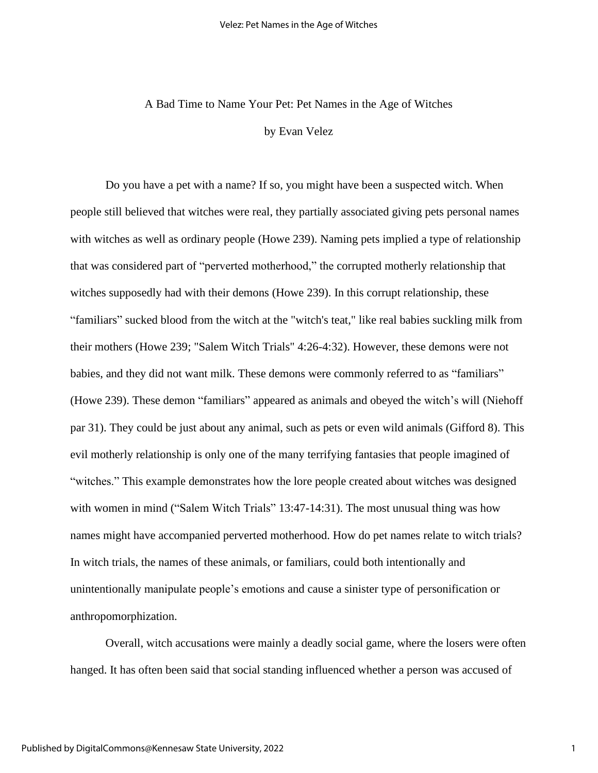# A Bad Time to Name Your Pet: Pet Names in the Age of Witches by Evan Velez

Do you have a pet with a name? If so, you might have been a suspected witch. When people still believed that witches were real, they partially associated giving pets personal names with witches as well as ordinary people (Howe 239). Naming pets implied a type of relationship that was considered part of "perverted motherhood," the corrupted motherly relationship that witches supposedly had with their demons (Howe 239). In this corrupt relationship, these "familiars" sucked blood from the witch at the "witch's teat," like real babies suckling milk from their mothers (Howe 239; "Salem Witch Trials" 4:26-4:32). However, these demons were not babies, and they did not want milk. These demons were commonly referred to as "familiars" (Howe 239). These demon "familiars" appeared as animals and obeyed the witch's will (Niehoff par 31). They could be just about any animal, such as pets or even wild animals (Gifford 8). This evil motherly relationship is only one of the many terrifying fantasies that people imagined of "witches." This example demonstrates how the lore people created about witches was designed with women in mind ("Salem Witch Trials" 13:47-14:31). The most unusual thing was how names might have accompanied perverted motherhood. How do pet names relate to witch trials? In witch trials, the names of these animals, or familiars, could both intentionally and unintentionally manipulate people's emotions and cause a sinister type of personification or anthropomorphization.

Overall, witch accusations were mainly a deadly social game, where the losers were often hanged. It has often been said that social standing influenced whether a person was accused of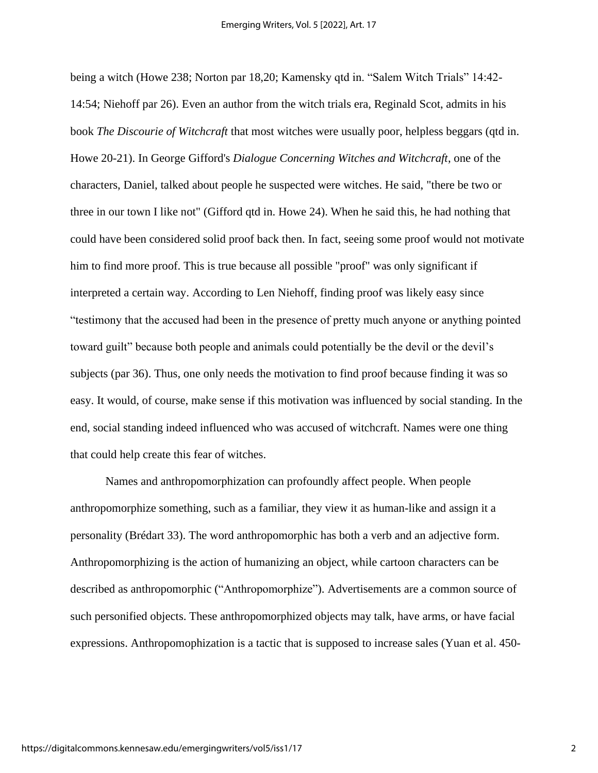being a witch (Howe 238; Norton par 18,20; Kamensky qtd in. "Salem Witch Trials" 14:42- 14:54; Niehoff par 26). Even an author from the witch trials era, Reginald Scot, admits in his book *The Discourie of Witchcraft* that most witches were usually poor, helpless beggars (qtd in. Howe 20-21). In George Gifford's *Dialogue Concerning Witches and Witchcraft*, one of the characters, Daniel, talked about people he suspected were witches. He said, "there be two or three in our town I like not" (Gifford qtd in. Howe 24). When he said this, he had nothing that could have been considered solid proof back then. In fact, seeing some proof would not motivate him to find more proof. This is true because all possible "proof" was only significant if interpreted a certain way. According to Len Niehoff, finding proof was likely easy since "testimony that the accused had been in the presence of pretty much anyone or anything pointed toward guilt" because both people and animals could potentially be the devil or the devil's subjects (par 36). Thus, one only needs the motivation to find proof because finding it was so easy. It would, of course, make sense if this motivation was influenced by social standing. In the end, social standing indeed influenced who was accused of witchcraft. Names were one thing that could help create this fear of witches.

Names and anthropomorphization can profoundly affect people. When people anthropomorphize something, such as a familiar, they view it as human-like and assign it a personality (Brédart 33). The word anthropomorphic has both a verb and an adjective form. Anthropomorphizing is the action of humanizing an object, while cartoon characters can be described as anthropomorphic ("Anthropomorphize"). Advertisements are a common source of such personified objects. These anthropomorphized objects may talk, have arms, or have facial expressions. Anthropomophization is a tactic that is supposed to increase sales (Yuan et al. 450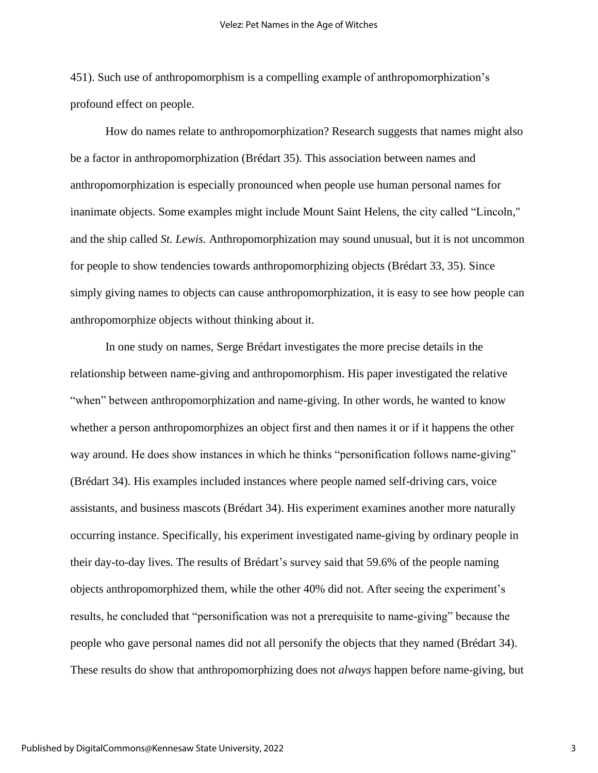451). Such use of anthropomorphism is a compelling example of anthropomorphization's profound effect on people.

How do names relate to anthropomorphization? Research suggests that names might also be a factor in anthropomorphization (Brédart 35). This association between names and anthropomorphization is especially pronounced when people use human personal names for inanimate objects. Some examples might include Mount Saint Helens, the city called "Lincoln," and the ship called *St. Lewis*. Anthropomorphization may sound unusual, but it is not uncommon for people to show tendencies towards anthropomorphizing objects (Brédart 33, 35). Since simply giving names to objects can cause anthropomorphization, it is easy to see how people can anthropomorphize objects without thinking about it.

In one study on names, Serge Brédart investigates the more precise details in the relationship between name-giving and anthropomorphism. His paper investigated the relative "when" between anthropomorphization and name-giving. In other words, he wanted to know whether a person anthropomorphizes an object first and then names it or if it happens the other way around. He does show instances in which he thinks "personification follows name-giving" (Brédart 34). His examples included instances where people named self-driving cars, voice assistants, and business mascots (Brédart 34). His experiment examines another more naturally occurring instance. Specifically, his experiment investigated name-giving by ordinary people in their day-to-day lives. The results of Brédart's survey said that 59.6% of the people naming objects anthropomorphized them, while the other 40% did not. After seeing the experiment's results, he concluded that "personification was not a prerequisite to name-giving" because the people who gave personal names did not all personify the objects that they named (Brédart 34). These results do show that anthropomorphizing does not *always* happen before name-giving, but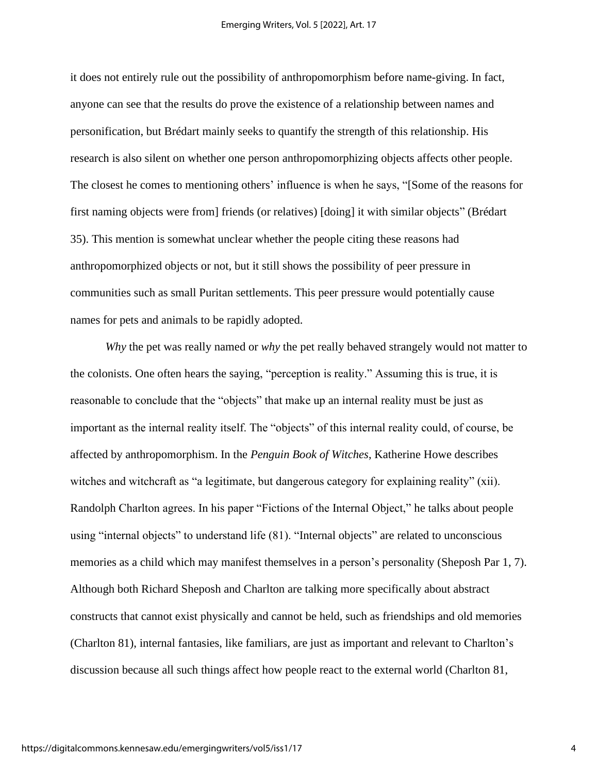it does not entirely rule out the possibility of anthropomorphism before name-giving. In fact, anyone can see that the results do prove the existence of a relationship between names and personification, but Brédart mainly seeks to quantify the strength of this relationship. His research is also silent on whether one person anthropomorphizing objects affects other people. The closest he comes to mentioning others' influence is when he says, "[Some of the reasons for first naming objects were from] friends (or relatives) [doing] it with similar objects" (Brédart 35). This mention is somewhat unclear whether the people citing these reasons had anthropomorphized objects or not, but it still shows the possibility of peer pressure in communities such as small Puritan settlements. This peer pressure would potentially cause names for pets and animals to be rapidly adopted.

*Why* the pet was really named or *why* the pet really behaved strangely would not matter to the colonists. One often hears the saying, "perception is reality." Assuming this is true, it is reasonable to conclude that the "objects" that make up an internal reality must be just as important as the internal reality itself. The "objects" of this internal reality could, of course, be affected by anthropomorphism. In the *Penguin Book of Witches*, Katherine Howe describes witches and witchcraft as "a legitimate, but dangerous category for explaining reality" (xii). Randolph Charlton agrees. In his paper "Fictions of the Internal Object," he talks about people using "internal objects" to understand life (81). "Internal objects" are related to unconscious memories as a child which may manifest themselves in a person's personality (Sheposh Par 1, 7). Although both Richard Sheposh and Charlton are talking more specifically about abstract constructs that cannot exist physically and cannot be held, such as friendships and old memories (Charlton 81), internal fantasies, like familiars, are just as important and relevant to Charlton's discussion because all such things affect how people react to the external world (Charlton 81,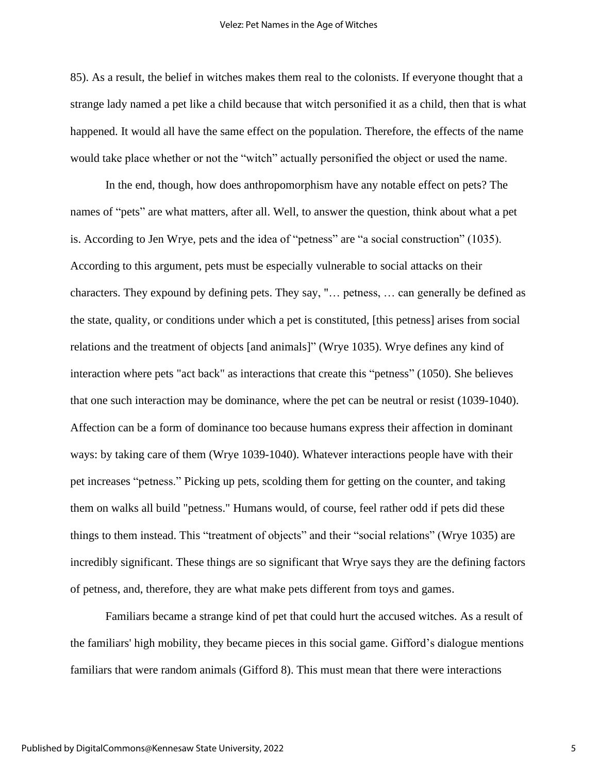#### Velez: Pet Names in the Age of Witches

85). As a result, the belief in witches makes them real to the colonists. If everyone thought that a strange lady named a pet like a child because that witch personified it as a child, then that is what happened. It would all have the same effect on the population. Therefore, the effects of the name would take place whether or not the "witch" actually personified the object or used the name.

In the end, though, how does anthropomorphism have any notable effect on pets? The names of "pets" are what matters, after all. Well, to answer the question, think about what a pet is. According to Jen Wrye, pets and the idea of "petness" are "a social construction" (1035). According to this argument, pets must be especially vulnerable to social attacks on their characters. They expound by defining pets. They say, "… petness, … can generally be defined as the state, quality, or conditions under which a pet is constituted, [this petness] arises from social relations and the treatment of objects [and animals]" (Wrye 1035). Wrye defines any kind of interaction where pets "act back" as interactions that create this "petness" (1050). She believes that one such interaction may be dominance, where the pet can be neutral or resist (1039-1040). Affection can be a form of dominance too because humans express their affection in dominant ways: by taking care of them (Wrye 1039-1040). Whatever interactions people have with their pet increases "petness." Picking up pets, scolding them for getting on the counter, and taking them on walks all build "petness." Humans would, of course, feel rather odd if pets did these things to them instead. This "treatment of objects" and their "social relations" (Wrye 1035) are incredibly significant. These things are so significant that Wrye says they are the defining factors of petness, and, therefore, they are what make pets different from toys and games.

Familiars became a strange kind of pet that could hurt the accused witches. As a result of the familiars' high mobility, they became pieces in this social game. Gifford's dialogue mentions familiars that were random animals (Gifford 8). This must mean that there were interactions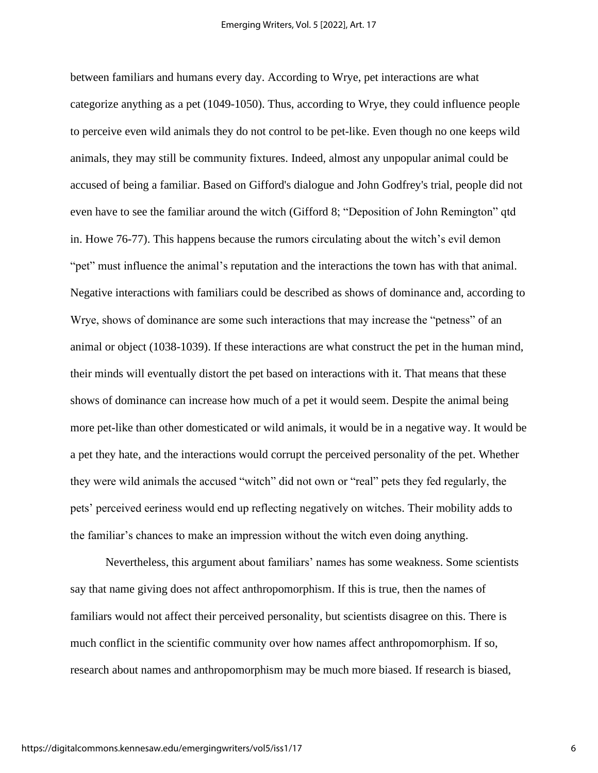between familiars and humans every day. According to Wrye, pet interactions are what categorize anything as a pet (1049-1050). Thus, according to Wrye, they could influence people to perceive even wild animals they do not control to be pet-like. Even though no one keeps wild animals, they may still be community fixtures. Indeed, almost any unpopular animal could be accused of being a familiar. Based on Gifford's dialogue and John Godfrey's trial, people did not even have to see the familiar around the witch (Gifford 8; "Deposition of John Remington" qtd in. Howe 76-77). This happens because the rumors circulating about the witch's evil demon "pet" must influence the animal's reputation and the interactions the town has with that animal. Negative interactions with familiars could be described as shows of dominance and, according to Wrye, shows of dominance are some such interactions that may increase the "petness" of an animal or object (1038-1039). If these interactions are what construct the pet in the human mind, their minds will eventually distort the pet based on interactions with it. That means that these shows of dominance can increase how much of a pet it would seem. Despite the animal being more pet-like than other domesticated or wild animals, it would be in a negative way. It would be a pet they hate, and the interactions would corrupt the perceived personality of the pet. Whether they were wild animals the accused "witch" did not own or "real" pets they fed regularly, the pets' perceived eeriness would end up reflecting negatively on witches. Their mobility adds to the familiar's chances to make an impression without the witch even doing anything.

Nevertheless, this argument about familiars' names has some weakness. Some scientists say that name giving does not affect anthropomorphism. If this is true, then the names of familiars would not affect their perceived personality, but scientists disagree on this. There is much conflict in the scientific community over how names affect anthropomorphism. If so, research about names and anthropomorphism may be much more biased. If research is biased,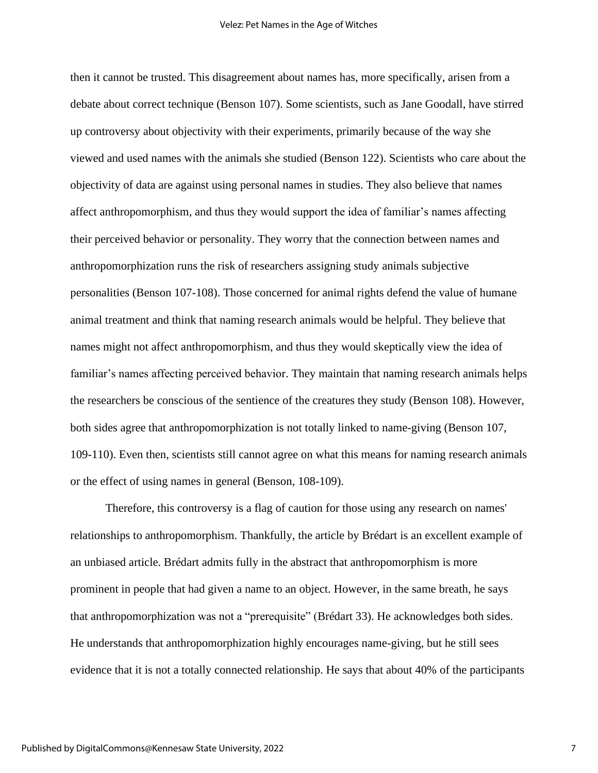then it cannot be trusted. This disagreement about names has, more specifically, arisen from a debate about correct technique (Benson 107). Some scientists, such as Jane Goodall, have stirred up controversy about objectivity with their experiments, primarily because of the way she viewed and used names with the animals she studied (Benson 122). Scientists who care about the objectivity of data are against using personal names in studies. They also believe that names affect anthropomorphism, and thus they would support the idea of familiar's names affecting their perceived behavior or personality. They worry that the connection between names and anthropomorphization runs the risk of researchers assigning study animals subjective personalities (Benson 107-108). Those concerned for animal rights defend the value of humane animal treatment and think that naming research animals would be helpful. They believe that names might not affect anthropomorphism, and thus they would skeptically view the idea of familiar's names affecting perceived behavior. They maintain that naming research animals helps the researchers be conscious of the sentience of the creatures they study (Benson 108). However, both sides agree that anthropomorphization is not totally linked to name-giving (Benson 107, 109-110). Even then, scientists still cannot agree on what this means for naming research animals or the effect of using names in general (Benson, 108-109).

Therefore, this controversy is a flag of caution for those using any research on names' relationships to anthropomorphism. Thankfully, the article by Brédart is an excellent example of an unbiased article. Brédart admits fully in the abstract that anthropomorphism is more prominent in people that had given a name to an object. However, in the same breath, he says that anthropomorphization was not a "prerequisite" (Brédart 33). He acknowledges both sides. He understands that anthropomorphization highly encourages name-giving, but he still sees evidence that it is not a totally connected relationship. He says that about 40% of the participants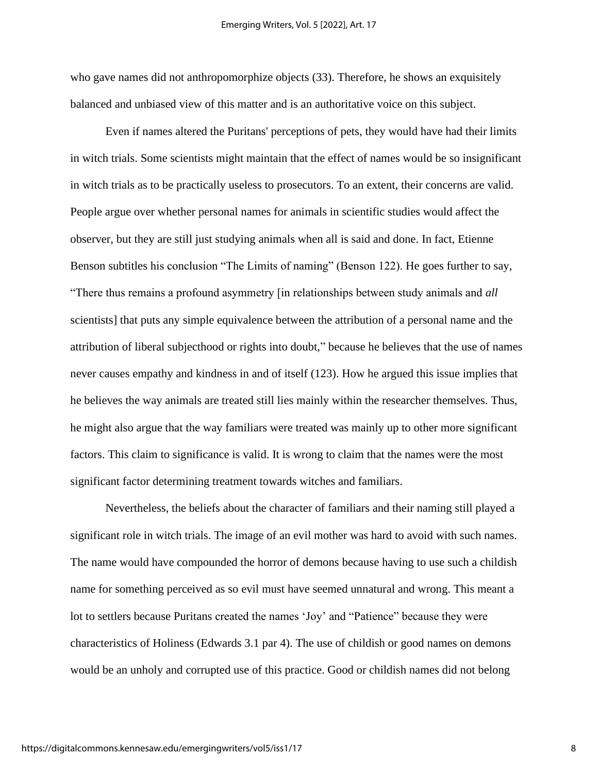who gave names did not anthropomorphize objects (33). Therefore, he shows an exquisitely balanced and unbiased view of this matter and is an authoritative voice on this subject.

Even if names altered the Puritans' perceptions of pets, they would have had their limits in witch trials. Some scientists might maintain that the effect of names would be so insignificant in witch trials as to be practically useless to prosecutors. To an extent, their concerns are valid. People argue over whether personal names for animals in scientific studies would affect the observer, but they are still just studying animals when all is said and done. In fact, Etienne Benson subtitles his conclusion "The Limits of naming" (Benson 122). He goes further to say, "There thus remains a profound asymmetry [in relationships between study animals and *all* scientists] that puts any simple equivalence between the attribution of a personal name and the attribution of liberal subjecthood or rights into doubt," because he believes that the use of names never causes empathy and kindness in and of itself (123). How he argued this issue implies that he believes the way animals are treated still lies mainly within the researcher themselves. Thus, he might also argue that the way familiars were treated was mainly up to other more significant factors. This claim to significance is valid. It is wrong to claim that the names were the most significant factor determining treatment towards witches and familiars.

Nevertheless, the beliefs about the character of familiars and their naming still played a significant role in witch trials. The image of an evil mother was hard to avoid with such names. The name would have compounded the horror of demons because having to use such a childish name for something perceived as so evil must have seemed unnatural and wrong. This meant a lot to settlers because Puritans created the names 'Joy' and "Patience" because they were characteristics of Holiness (Edwards 3.1 par 4). The use of childish or good names on demons would be an unholy and corrupted use of this practice. Good or childish names did not belong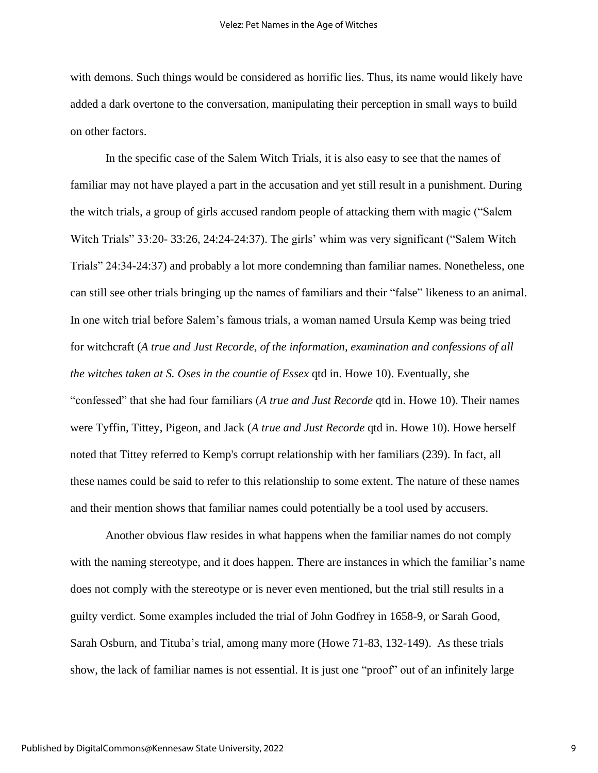with demons. Such things would be considered as horrific lies. Thus, its name would likely have added a dark overtone to the conversation, manipulating their perception in small ways to build on other factors.

In the specific case of the Salem Witch Trials, it is also easy to see that the names of familiar may not have played a part in the accusation and yet still result in a punishment. During the witch trials, a group of girls accused random people of attacking them with magic ("Salem Witch Trials" 33:20- 33:26, 24:24-24:37). The girls' whim was very significant ("Salem Witch Trials" 24:34-24:37) and probably a lot more condemning than familiar names. Nonetheless, one can still see other trials bringing up the names of familiars and their "false" likeness to an animal. In one witch trial before Salem's famous trials, a woman named Ursula Kemp was being tried for witchcraft (*A true and Just Recorde, of the information, examination and confessions of all the witches taken at S. Oses in the countie of Essex* qtd in. Howe 10). Eventually, she "confessed" that she had four familiars (*A true and Just Recorde* qtd in. Howe 10). Their names were Tyffin, Tittey, Pigeon, and Jack (*A true and Just Recorde* qtd in. Howe 10). Howe herself noted that Tittey referred to Kemp's corrupt relationship with her familiars (239). In fact, all these names could be said to refer to this relationship to some extent. The nature of these names and their mention shows that familiar names could potentially be a tool used by accusers.

Another obvious flaw resides in what happens when the familiar names do not comply with the naming stereotype, and it does happen. There are instances in which the familiar's name does not comply with the stereotype or is never even mentioned, but the trial still results in a guilty verdict. Some examples included the trial of John Godfrey in 1658-9, or Sarah Good, Sarah Osburn, and Tituba's trial, among many more (Howe 71-83, 132-149). As these trials show, the lack of familiar names is not essential. It is just one "proof" out of an infinitely large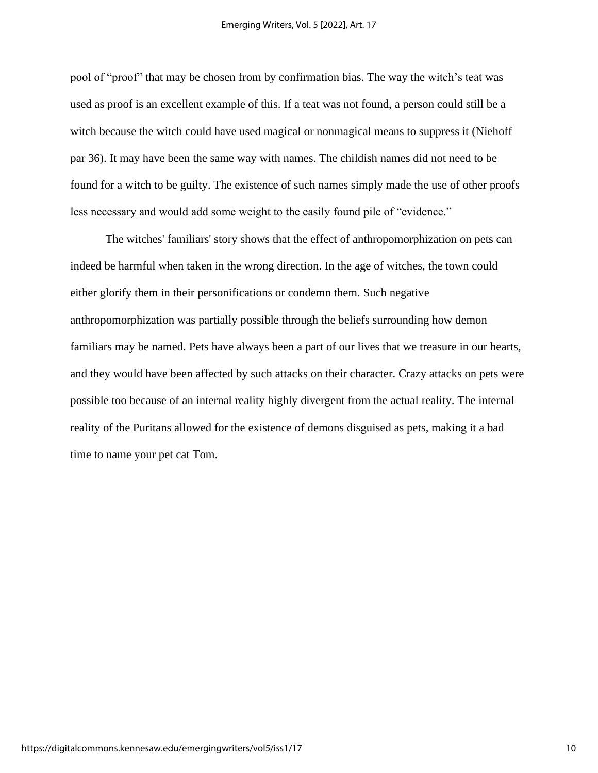pool of "proof" that may be chosen from by confirmation bias. The way the witch's teat was used as proof is an excellent example of this. If a teat was not found, a person could still be a witch because the witch could have used magical or nonmagical means to suppress it (Niehoff par 36). It may have been the same way with names. The childish names did not need to be found for a witch to be guilty. The existence of such names simply made the use of other proofs less necessary and would add some weight to the easily found pile of "evidence."

The witches' familiars' story shows that the effect of anthropomorphization on pets can indeed be harmful when taken in the wrong direction. In the age of witches, the town could either glorify them in their personifications or condemn them. Such negative anthropomorphization was partially possible through the beliefs surrounding how demon familiars may be named. Pets have always been a part of our lives that we treasure in our hearts, and they would have been affected by such attacks on their character. Crazy attacks on pets were possible too because of an internal reality highly divergent from the actual reality. The internal reality of the Puritans allowed for the existence of demons disguised as pets, making it a bad time to name your pet cat Tom.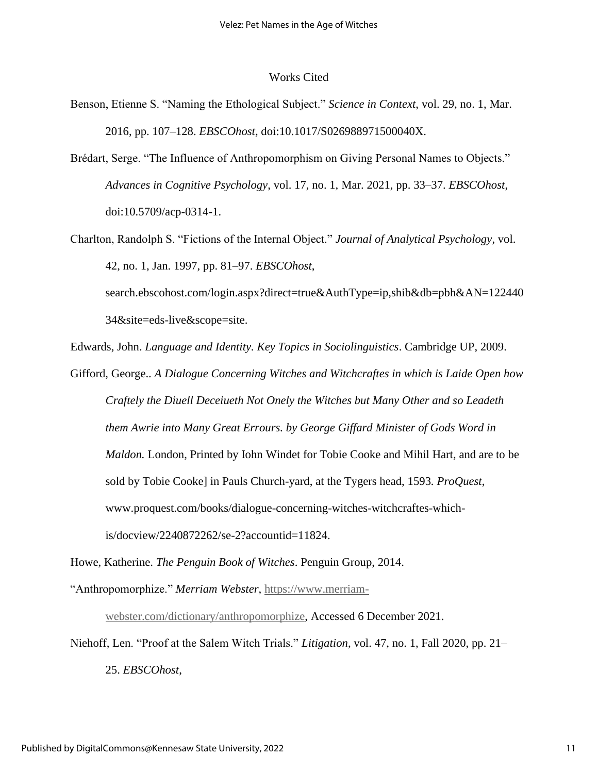### Works Cited

- Benson, Etienne S. "Naming the Ethological Subject." *Science in Context*, vol. 29, no. 1, Mar. 2016, pp. 107–128. *EBSCOhost*, doi:10.1017/S026988971500040X.
- Brédart, Serge. "The Influence of Anthropomorphism on Giving Personal Names to Objects." *Advances in Cognitive Psychology*, vol. 17, no. 1, Mar. 2021, pp. 33–37. *EBSCOhost*, doi:10.5709/acp-0314-1.
- Charlton, Randolph S. "Fictions of the Internal Object." *Journal of Analytical Psychology*, vol. 42, no. 1, Jan. 1997, pp. 81–97. *EBSCOhost*,

search.ebscohost.com/login.aspx?direct=true&AuthType=ip,shib&db=pbh&AN=122440 34&site=eds-live&scope=site.

Edwards, John. *Language and Identity. Key Topics in Sociolinguistics*. Cambridge UP, 2009.

Gifford, George.. *A Dialogue Concerning Witches and Witchcraftes in which is Laide Open how Craftely the Diuell Deceiueth Not Onely the Witches but Many Other and so Leadeth them Awrie into Many Great Errours. by George Giffard Minister of Gods Word in Maldon.* London, Printed by Iohn Windet for Tobie Cooke and Mihil Hart, and are to be sold by Tobie Cooke] in Pauls Church-yard, at the Tygers head, 1593*. ProQuest*, www.proquest.com/books/dialogue-concerning-witches-witchcraftes-whichis/docview/2240872262/se-2?accountid=11824.

Howe, Katherine. *The Penguin Book of Witches*. Penguin Group, 2014.

"Anthropomorphize." *Merriam Webster*, [https://www.merriam-](https://www.merriam-webster.com/dictionary/anthropomorphize)

[webster.com/dictionary/anthropomorphize,](https://www.merriam-webster.com/dictionary/anthropomorphize) Accessed 6 December 2021.

Niehoff, Len. "Proof at the Salem Witch Trials." *Litigation*, vol. 47, no. 1, Fall 2020, pp. 21–

25. *EBSCOhost*,